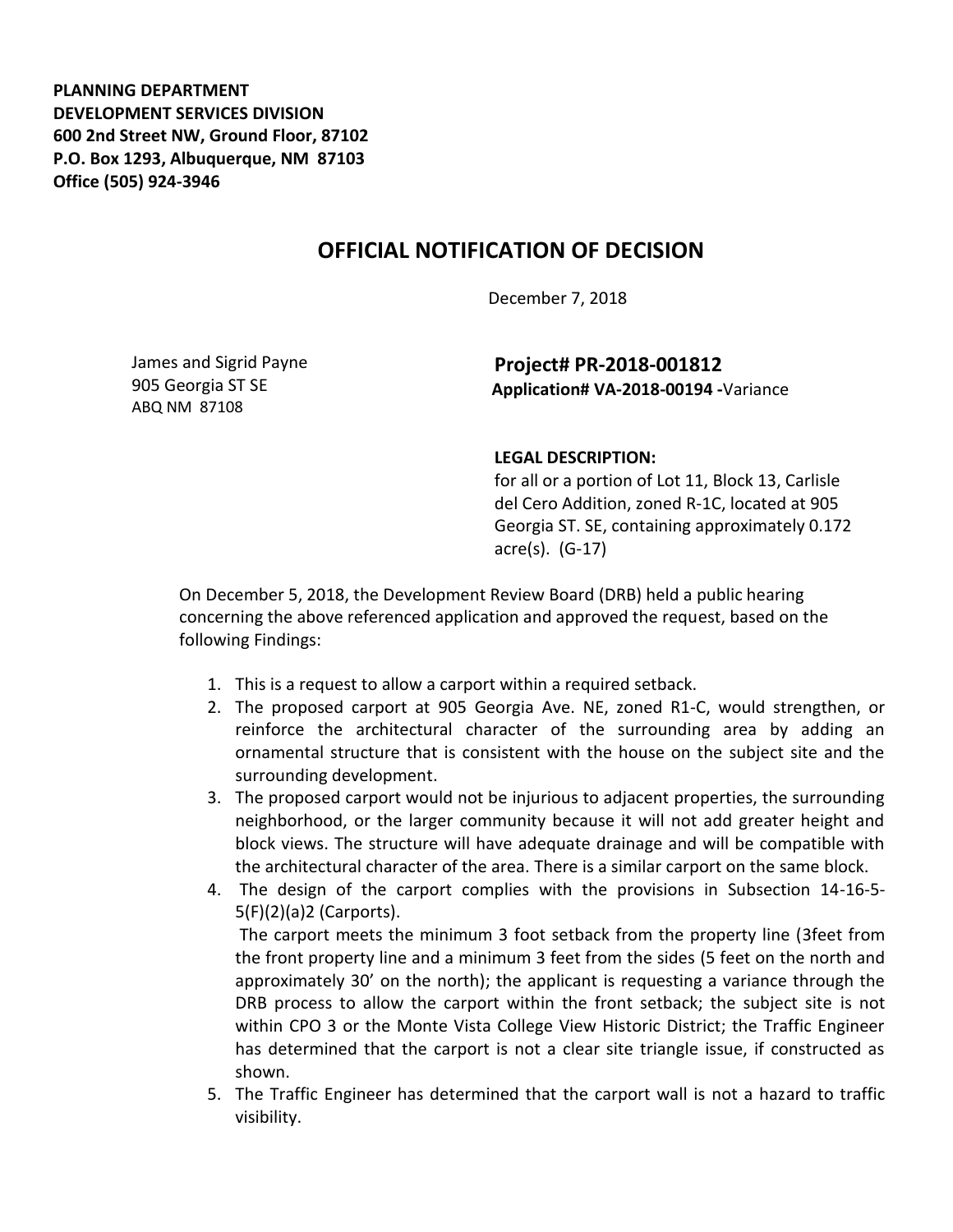**PLANNING DEPARTMENT DEVELOPMENT SERVICES DIVISION 600 2nd Street NW, Ground Floor, 87102 P.O. Box 1293, Albuquerque, NM 87103 Office (505) 924-3946** 

## **OFFICIAL NOTIFICATION OF DECISION**

December 7, 2018

James and Sigrid Payne 905 Georgia ST SE ABQ NM 87108

**Project# PR-2018-001812 Application# VA-2018-00194 -**Variance

## **LEGAL DESCRIPTION:**

for all or a portion of Lot 11, Block 13, Carlisle del Cero Addition, zoned R-1C, located at 905 Georgia ST. SE, containing approximately 0.172 acre(s). (G-17)

On December 5, 2018, the Development Review Board (DRB) held a public hearing concerning the above referenced application and approved the request, based on the following Findings:

- 1. This is a request to allow a carport within a required setback.
- 2. The proposed carport at 905 Georgia Ave. NE, zoned R1-C, would strengthen, or reinforce the architectural character of the surrounding area by adding an ornamental structure that is consistent with the house on the subject site and the surrounding development.
- 3. The proposed carport would not be injurious to adjacent properties, the surrounding neighborhood, or the larger community because it will not add greater height and block views. The structure will have adequate drainage and will be compatible with the architectural character of the area. There is a similar carport on the same block.
- 4. The design of the carport complies with the provisions in Subsection 14-16-5- 5(F)(2)(a)2 (Carports).

The carport meets the minimum 3 foot setback from the property line (3feet from the front property line and a minimum 3 feet from the sides (5 feet on the north and approximately 30' on the north); the applicant is requesting a variance through the DRB process to allow the carport within the front setback; the subject site is not within CPO 3 or the Monte Vista College View Historic District; the Traffic Engineer has determined that the carport is not a clear site triangle issue, if constructed as shown.

5. The Traffic Engineer has determined that the carport wall is not a hazard to traffic visibility.